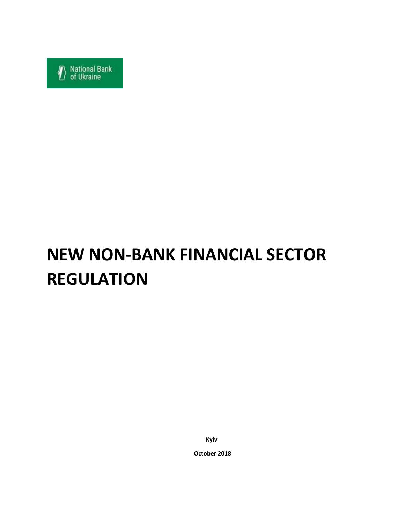

# **NEW NON-BANK FINANCIAL SECTOR REGULATION**

**Kyiv**

**October 2018**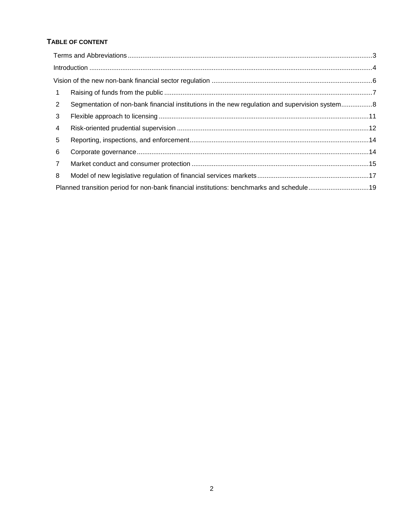## **TABLE OF CONTENT**

| $\mathbf{1}$   |                                                                                               |  |
|----------------|-----------------------------------------------------------------------------------------------|--|
| $\overline{2}$ | Segmentation of non-bank financial institutions in the new regulation and supervision system8 |  |
| 3              |                                                                                               |  |
| 4              |                                                                                               |  |
| 5              |                                                                                               |  |
| 6              |                                                                                               |  |
| $\overline{7}$ |                                                                                               |  |
| 8              |                                                                                               |  |
|                | Planned transition period for non-bank financial institutions: benchmarks and schedule19      |  |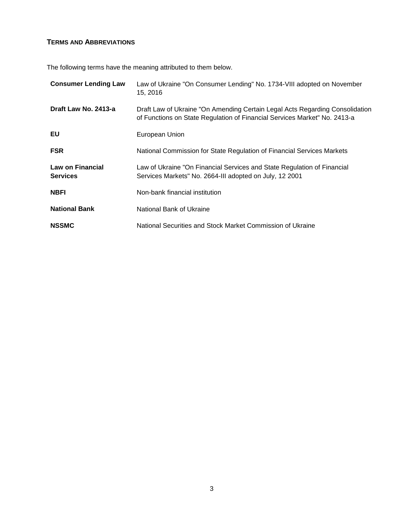## <span id="page-2-0"></span>**TERMS AND ABBREVIATIONS**

The following terms have the meaning attributed to them below.

| <b>Consumer Lending Law</b>         | Law of Ukraine "On Consumer Lending" No. 1734-VIII adopted on November<br>15, 2016                                                                        |
|-------------------------------------|-----------------------------------------------------------------------------------------------------------------------------------------------------------|
| Draft Law No. 2413-a                | Draft Law of Ukraine "On Amending Certain Legal Acts Regarding Consolidation<br>of Functions on State Regulation of Financial Services Market" No. 2413-a |
| EU                                  | European Union                                                                                                                                            |
| <b>FSR</b>                          | National Commission for State Regulation of Financial Services Markets                                                                                    |
| Law on Financial<br><b>Services</b> | Law of Ukraine "On Financial Services and State Regulation of Financial<br>Services Markets" No. 2664-III adopted on July, 12 2001                        |
| <b>NBFI</b>                         | Non-bank financial institution                                                                                                                            |
| <b>National Bank</b>                | National Bank of Ukraine                                                                                                                                  |
| <b>NSSMC</b>                        | National Securities and Stock Market Commission of Ukraine                                                                                                |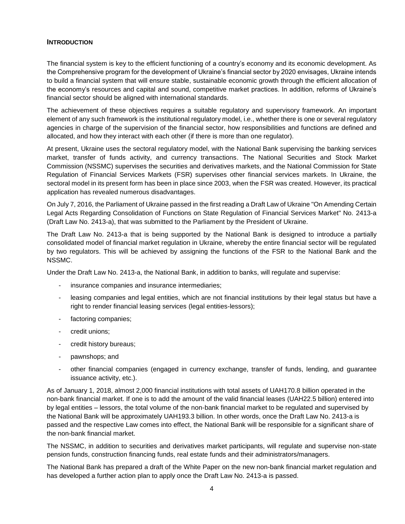#### <span id="page-3-0"></span>**INTRODUCTION**

The financial system is key to the efficient functioning of a country's economy and its economic development. As the Comprehensive program for the development of Ukraine's financial sector by 2020 envisages, Ukraine intends to build a financial system that will ensure stable, sustainable economic growth through the efficient allocation of the economy's resources and capital and sound, competitive market practices. In addition, reforms of Ukraine's financial sector should be aligned with international standards.

The achievement of these objectives requires a suitable regulatory and supervisory framework. An important element of any such framework is the institutional regulatory model, i.e., whether there is one or several regulatory agencies in charge of the supervision of the financial sector, how responsibilities and functions are defined and allocated, and how they interact with each other (if there is more than one regulator).

At present, Ukraine uses the sectoral regulatory model, with the National Bank supervising the banking services market, transfer of funds activity, and currency transactions. The National Securities and Stock Market Commission (NSSMC) supervises the securities and derivatives markets, and the National Commission for State Regulation of Financial Services Markets (FSR) supervises other financial services markets. In Ukraine, the sectoral model in its present form has been in place since 2003, when the FSR was created. However, its practical application has revealed numerous disadvantages.

On July 7, 2016, the Parliament of Ukraine passed in the first reading a Draft Law of Ukraine "On Amending Certain Legal Acts Regarding Consolidation of Functions on State Regulation of Financial Services Market" No. 2413-a (Draft Law No. 2413-a), that was submitted to the Parliament by the President of Ukraine.

The Draft Law No. 2413-a that is being supported by the National Bank is designed to introduce a partially consolidated model of financial market regulation in Ukraine, whereby the entire financial sector will be regulated by two regulators. This will be achieved by assigning the functions of the FSR to the National Bank and the NSSMC.

Under the Draft Law No. 2413-a, the National Bank, in addition to banks, will regulate and supervise:

- insurance companies and insurance intermediaries:
- leasing companies and legal entities, which are not financial institutions by their legal status but have a right to render financial leasing services (legal entities-lessors);
- factoring companies;
- credit unions;
- credit history bureaus;
- pawnshops; and
- other financial companies (engaged in currency exchange, transfer of funds, lending, and guarantee issuance activity, etc.).

As of January 1, 2018, almost 2,000 financial institutions with total assets of UAH170.8 billion operated in the non-bank financial market. If one is to add the amount of the valid financial leases (UAH22.5 billion) entered into by legal entities – lessors, the total volume of the non-bank financial market to be regulated and supervised by the National Bank will be approximately UAH193.3 billion. In other words, once the Draft Law No. 2413-a is passed and the respective Law comes into effect, the National Bank will be responsible for a significant share of the non-bank financial market.

The NSSMC, in addition to securities and derivatives market participants, will regulate and supervise non-state pension funds, construction financing funds, real estate funds and their administrators/managers.

The National Bank has prepared a draft of the White Paper on the new non-bank financial market regulation and has developed a further action plan to apply once the Draft Law No. 2413-a is passed.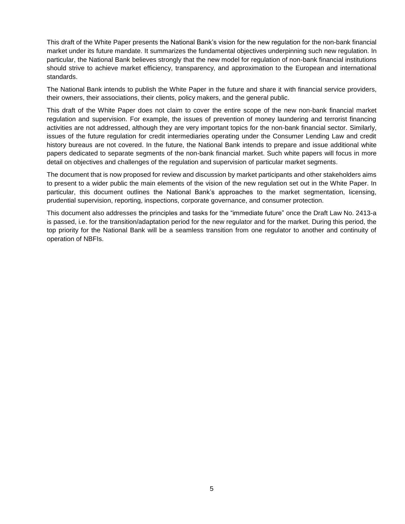This draft of the White Paper presents the National Bank's vision for the new regulation for the non-bank financial market under its future mandate. It summarizes the fundamental objectives underpinning such new regulation. In particular, the National Bank believes strongly that the new model for regulation of non-bank financial institutions should strive to achieve market efficiency, transparency, and approximation to the European and international standards.

The National Bank intends to publish the White Paper in the future and share it with financial service providers, their owners, their associations, their clients, policy makers, and the general public.

This draft of the White Paper does not claim to cover the entire scope of the new non-bank financial market regulation and supervision. For example, the issues of prevention of money laundering and terrorist financing activities are not addressed, although they are very important topics for the non-bank financial sector. Similarly, issues of the future regulation for credit intermediaries operating under the Consumer Lending Law and credit history bureaus are not covered. In the future, the National Bank intends to prepare and issue additional white papers dedicated to separate segments of the non-bank financial market. Such white papers will focus in more detail on objectives and challenges of the regulation and supervision of particular market segments.

The document that is now proposed for review and discussion by market participants and other stakeholders aims to present to a wider public the main elements of the vision of the new regulation set out in the White Paper. In particular, this document outlines the National Bank's approaches to the market segmentation, licensing, prudential supervision, reporting, inspections, corporate governance, and consumer protection.

This document also addresses the principles and tasks for the "immediate future" once the Draft Law No. 2413-a is passed, i.e. for the transition/adaptation period for the new regulator and for the market. During this period, the top priority for the National Bank will be a seamless transition from one regulator to another and continuity of operation of NBFIs.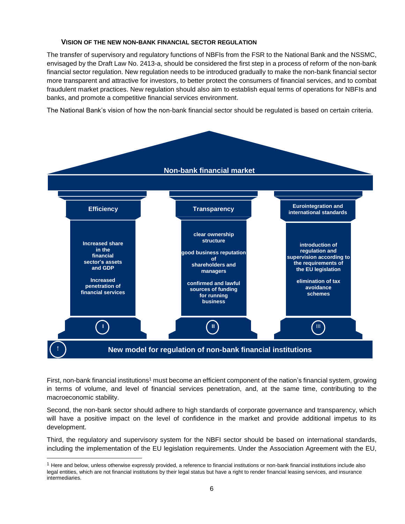#### <span id="page-5-0"></span>**VISION OF THE NEW NON-BANK FINANCIAL SECTOR REGULATION**

The transfer of supervisory and regulatory functions of NBFIs from the FSR to the National Bank and the NSSMC, envisaged by the Draft Law No. 2413-a, should be considered the first step in a process of reform of the non-bank financial sector regulation. New regulation needs to be introduced gradually to make the non-bank financial sector more transparent and attractive for investors, to better protect the consumers of financial services, and to combat fraudulent market practices. New regulation should also aim to establish equal terms of operations for NBFIs and banks, and promote a competitive financial services environment.

The National Bank's vision of how the non-bank financial sector should be regulated is based on certain criteria.



First, non-bank financial institutions<sup>1</sup> must become an efficient component of the nation's financial system, growing in terms of volume, and level of financial services penetration, and, at the same time, contributing to the macroeconomic stability.

Second, the non-bank sector should adhere to high standards of corporate governance and transparency, which will have a positive impact on the level of confidence in the market and provide additional impetus to its development.

Third, the regulatory and supervisory system for the NBFI sector should be based on international standards, including the implementation of the EU legislation requirements. Under the Association Agreement with the EU,

l

 $<sup>1</sup>$  Here and below, unless otherwise expressly provided, a reference to financial institutions or non-bank financial institutions include also</sup> legal entities, which are not financial institutions by their legal status but have a right to render financial leasing services, and insurance intermediaries.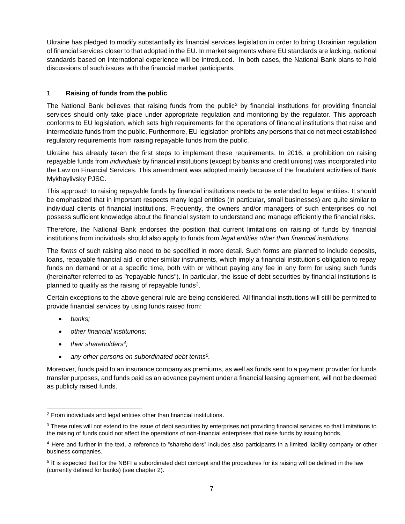Ukraine has pledged to modify substantially its financial services legislation in order to bring Ukrainian regulation of financial services closer to that adopted in the EU. In market segments where EU standards are lacking, national standards based on international experience will be introduced. In both cases, the National Bank plans to hold discussions of such issues with the financial market participants.

### <span id="page-6-0"></span>**1 Raising of funds from the public**

The National Bank believes that raising funds from the public<sup>2</sup> by financial institutions for providing financial services should only take place under appropriate regulation and monitoring by the regulator. This approach conforms to EU legislation, which sets high requirements for the operations of financial institutions that raise and intermediate funds from the public. Furthermore, EU legislation prohibits any persons that do not meet established regulatory requirements from raising repayable funds from the public.

Ukraine has already taken the first steps to implement these requirements. In 2016, a prohibition on raising repayable funds from *individuals* by financial institutions (except by banks and credit unions) was incorporated into the Law on Financial Services. This amendment was adopted mainly because of the fraudulent activities of Bank Mykhaylivsky PJSC.

This approach to raising repayable funds by financial institutions needs to be extended to legal entities. It should be emphasized that in important respects many legal entities (in particular, small businesses) are quite similar to individual clients of financial institutions. Frequently, the owners and/or managers of such enterprises do not possess sufficient knowledge about the financial system to understand and manage efficiently the financial risks.

Therefore, the National Bank endorses the position that current limitations on raising of funds by financial institutions from individuals should also apply to funds from *legal entities other than financial institutions.*

The *forms* of such raising also need to be specified in more detail. Such forms are planned to include deposits, loans, repayable financial aid, or other similar instruments, which imply a financial institution's obligation to repay funds on demand or at a specific time, both with or without paying any fee in any form for using such funds (hereinafter referred to as "repayable funds"). In particular, the issue of debt securities by financial institutions is planned to qualify as the raising of repayable funds<sup>3</sup>.

Certain exceptions to the above general rule are being considered. All financial institutions will still be permitted to provide financial services by using funds raised from:

*banks;* 

 $\overline{a}$ 

- *other financial institutions;*
- *their shareholders<sup>4</sup> ;*
- *any other persons on subordinated debt terms<sup>5</sup> .*

Moreover, funds paid to an insurance company as premiums, as well as funds sent to a payment provider for funds transfer purposes, and funds paid as an advance payment under a financial leasing agreement, will not be deemed as publicly raised funds.

<sup>2</sup> From individuals and legal entities other than financial institutions.

 $3$  These rules will not extend to the issue of debt securities by enterprises not providing financial services so that limitations to the raising of funds could not affect the operations of non-financial enterprises that raise funds by issuing bonds.

<sup>4</sup> Here and further in the text, a reference to "shareholders" includes also participants in a limited liability company or other business companies.

<sup>&</sup>lt;sup>5</sup> It is expected that for the NBFI a subordinated debt concept and the procedures for its raising will be defined in the law (currently defined for banks) (see chapter 2).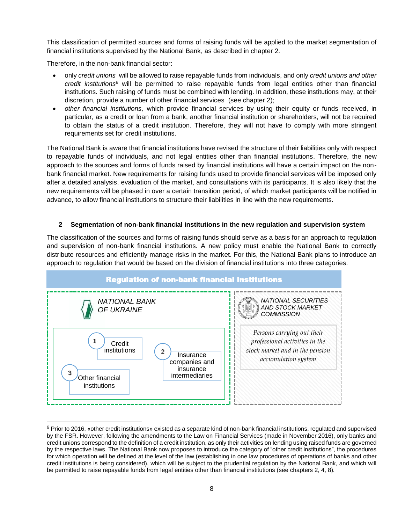This classification of permitted sources and forms of raising funds will be applied to the market segmentation of financial institutions supervised by the National Bank, as described in chapter 2.

Therefore, in the non-bank financial sector:

 $\overline{a}$ 

- only *credit unions* will be allowed to raise repayable funds from individuals, and only *credit unions and other credit institutions<sup>6</sup>* will be permitted to raise repayable funds from legal entities other than financial institutions. Such raising of funds must be combined with lending. In addition, these institutions may, at their discretion, provide a number of other financial services (see chapter 2);
- *other financial institutions,* which provide financial services by using their equity or funds received, in particular, as a credit or loan from a bank, another financial institution or shareholders, will not be required to obtain the status of a credit institution. Therefore, they will not have to comply with more stringent requirements set for credit institutions.

The National Bank is aware that financial institutions have revised the structure of their liabilities only with respect to repayable funds of individuals, and not legal entities other than financial institutions. Therefore, the new approach to the sources and forms of funds raised by financial institutions will have a certain impact on the nonbank financial market. New requirements for raising funds used to provide financial services will be imposed only after a detailed analysis, evaluation of the market, and consultations with its participants. It is also likely that the new requirements will be phased in over a certain transition period, of which market participants will be notified in advance, to allow financial institutions to structure their liabilities in line with the new requirements.

#### <span id="page-7-0"></span>**2 Segmentation of non-bank financial institutions in the new regulation and supervision system**

The classification of the sources and forms of raising funds should serve as a basis for an approach to regulation and supervision of non-bank financial institutions. A new policy must enable the National Bank to correctly distribute resources and efficiently manage risks in the market. For this, the National Bank plans to introduce an approach to regulation that would be based on the division of financial institutions into three categories.



 $6$  Prior to 2016, «other credit institutions» existed as a separate kind of non-bank financial institutions, regulated and supervised by the FSR. However, following the amendments to the Law on Financial Services (made in November 2016), only banks and credit unions correspond to the definition of a credit institution, as only their activities on lending using raised funds are governed by the respective laws. The National Bank now proposes to introduce the category of "other credit institutions", the procedures for which operation will be defined at the level of the law (establishing in one law procedures of operations of banks and other credit institutions is being considered), which will be subject to the prudential regulation by the National Bank, and which will be permitted to raise repayable funds from legal entities other than financial institutions (see chapters 2, 4, 8).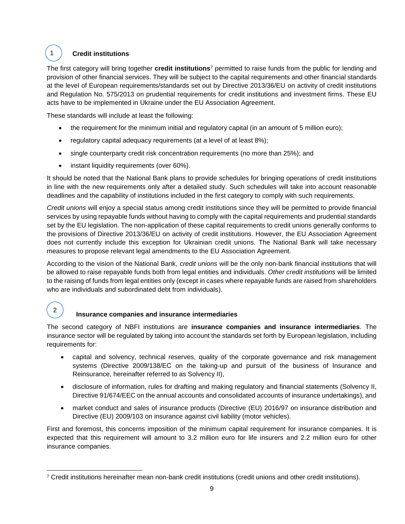## **Credit institutions**

1

l

2

The first category will bring together **credit institutions**<sup>7</sup> permitted to raise funds from the public for lending and provision of other financial services. They will be subject to the capital requirements and other financial standards at the level of European requirements/standards set out by Directive 2013/36/EU on activity of credit institutions and Regulation No. 575/2013 on prudential requirements for credit institutions and investment firms. These EU acts have to be implemented in Ukraine under the EU Association Agreement.

These standards will include at least the following:

- the requirement for the minimum initial and regulatory capital (in an amount of 5 million euro);
- regulatory capital adequacy requirements (at a level of at least 8%);
- single counterparty credit risk concentration requirements (no more than 25%); and
- instant liquidity requirements (over 60%).

It should be noted that the National Bank plans to provide schedules for bringing operations of credit institutions in line with the new requirements only after a detailed study. Such schedules will take into account reasonable deadlines and the capability of institutions included in the first category to comply with such requirements.

*Credit unions* will enjoy a special status among credit institutions since they will be permitted to provide financial services by using repayable funds without having to comply with the capital requirements and prudential standards set by the EU legislation. The non-application of these capital requirements to credit unions generally conforms to the provisions of Directive 2013/36/EU on activity of credit institutions. However, the EU Association Agreement does not currently include this exception for Ukrainian credit unions. The National Bank will take necessary measures to propose relevant legal amendments to the EU Association Agreement.

According to the vision of the National Bank, *credit unions* will be the only non-bank financial institutions that will be allowed to raise repayable funds both from legal entities and individuals. *Other credit institutions* will be limited to the raising of funds from legal entities only (except in cases where repayable funds are raised from shareholders who are individuals and subordinated debt from individuals).

## **Insurance companies and insurance intermediaries**

The second category of NBFI institutions are **insurance companies and insurance intermediaries**. The insurance sector will be regulated by taking into account the standards set forth by European legislation, including requirements for:

- capital and solvency, technical reserves, quality of the corporate governance and risk management systems (Directive 2009/138/EС on the taking-up and pursuit of the business of Insurance and Reinsurance, hereinafter referred to as Solvency II),
- disclosure of information, rules for drafting and making regulatory and financial statements (Solvency II, Directive 91/674/EEC on the annual accounts and consolidated accounts of insurance undertakings), and
- market conduct and sales of insurance products (Directive (EU) 2016/97 on insurance distribution and Directive (EU) 2009/103 on insurance against civil liability (motor vehicles).

First and foremost, this concerns imposition of the minimum capital requirement for insurance companies. It is expected that this requirement will amount to 3.2 million euro for life insurers and 2.2 million euro for other insurance companies.

<sup>7</sup> Credit institutions hereinafter mean non-bank credit institutions (credit unions and other credit institutions).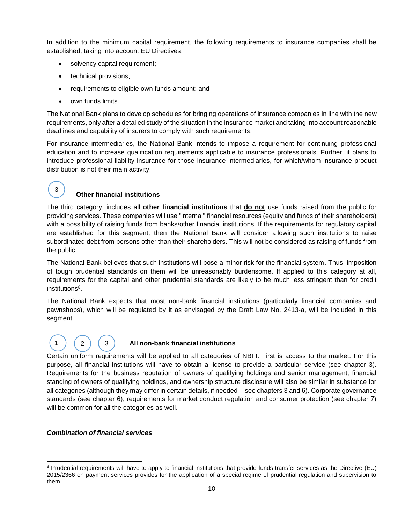In addition to the minimum capital requirement, the following requirements to insurance companies shall be established, taking into account EU Directives:

- solvency capital requirement;
- technical provisions;
- requirements to eligible own funds amount; and
- own funds limits.

3

The National Bank plans to develop schedules for bringing operations of insurance companies in line with the new requirements, only after a detailed study of the situation in the insurance market and taking into account reasonable deadlines and capability of insurers to comply with such requirements.

For insurance intermediaries, the National Bank intends to impose a requirement for continuing professional education and to increase qualification requirements applicable to insurance professionals. Further, it plans to introduce professional liability insurance for those insurance intermediaries, for which/whom insurance product distribution is not their main activity.

## **Other financial institutions**

The third category, includes all **other financial institutions** that **do not** use funds raised from the public for providing services. These companies will use "internal" financial resources (equity and funds of their shareholders) with a possibility of raising funds from banks/other financial institutions. If the requirements for regulatory capital are established for this segment, then the National Bank will consider allowing such institutions to raise subordinated debt from persons other than their shareholders. This will not be considered as raising of funds from the public.

The National Bank believes that such institutions will pose a minor risk for the financial system. Thus, imposition of tough prudential standards on them will be unreasonably burdensome. If applied to this category at all, requirements for the capital and other prudential standards are likely to be much less stringent than for credit institutions<sup>8</sup>.

The National Bank expects that most non-bank financial institutions (particularly financial companies and pawnshops), which will be regulated by it as envisaged by the Draft Law No. 2413-a, will be included in this segment.

# 1 ) ( 2 ) ( 3

#### **All non-bank financial institutions**

Certain uniform requirements will be applied to all categories of NBFI. First is access to the market. For this purpose, all financial institutions will have to obtain a license to provide a particular service (see chapter 3). Requirements for the business reputation of owners of qualifying holdings and senior management, financial standing of owners of qualifying holdings, and ownership structure disclosure will also be similar in substance for all categories (although they may differ in certain details, if needed – see chapters 3 and 6). Corporate governance standards (see chapter 6), requirements for market conduct regulation and consumer protection (see chapter 7) will be common for all the categories as well.

#### *Combination of financial services*

l <sup>8</sup> Prudential requirements will have to apply to financial institutions that provide funds transfer services as the Directive (EU) 2015/2366 on payment services provides for the application of a special regime of prudential regulation and supervision to them.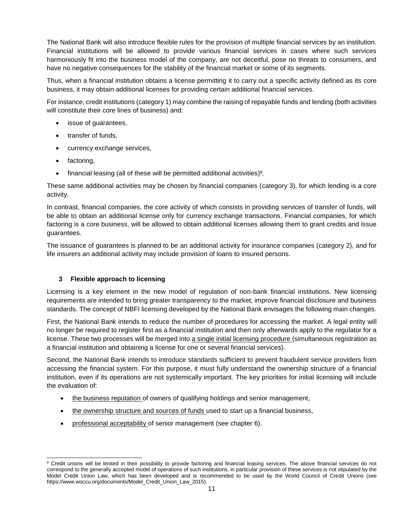The National Bank will also introduce flexible rules for the provision of multiple financial services by an institution. Financial institutions will be allowed to provide various financial services in cases where such services harmoniously fit into the business model of the company, are not deceitful, pose no threats to consumers, and have no negative consequences for the stability of the financial market or some of its segments.

Thus, when a financial institution obtains a license permitting it to carry out a specific activity defined as its core business, it may obtain additional licenses for providing certain additional financial services.

For instance, credit institutions (category 1) may combine the raising of repayable funds and lending (both activities will constitute their core lines of business) and:

- issue of guarantees,
- transfer of funds,
- currency exchange services,
- factoring,
- $\bullet$  financial leasing (all of these will be permitted additional activities)<sup>9</sup>.

These same additional activities may be chosen by financial companies (category 3), for which lending is a core activity.

In contrast, financial companies, the core activity of which consists in providing services of transfer of funds, will be able to obtain an additional license only for currency exchange transactions. Financial companies, for which factoring is a core business, will be allowed to obtain additional licenses allowing them to grant credits and issue guarantees.

The issuance of guarantees is planned to be an additional activity for insurance companies (category 2), and for life insurers an additional activity may include provision of loans to insured persons.

#### <span id="page-10-0"></span>**3 Flexible approach to licensing**

Licensing is a key element in the new model of regulation of non-bank financial institutions. New licensing requirements are intended to bring greater transparency to the market, improve financial disclosure and business standards. The concept of NBFI licensing developed by the National Bank envisages the following main changes.

First, the National Bank intends to reduce the number of procedures for accessing the market. A legal entity will no longer be required to register first as a financial institution and then only afterwards apply to the regulator for a license. These two processes will be merged into a single initial licensing procedure (simultaneous registration as a financial institution and obtaining a license for one or several financial services).

Second, the National Bank intends to introduce standards sufficient to prevent fraudulent service providers from accessing the financial system. For this purpose, it must fully understand the ownership structure of a financial institution, even if its operations are not systemically important. The key priorities for initial licensing will include the evaluation of:

- the business reputation of owners of qualifying holdings and senior management,
- the ownership structure and sources of funds used to start up a financial business,
- professional acceptability of senior management (see chapter 6).

 $\overline{a}$ <sup>9</sup> Credit unions will be limited in their possibility to provide factoring and financial leasing services. The above financial services do not correspond to the generally accepted model of operations of such institutions, in particular provision of these services is not stipulated by the Model Credit Union Law, which has been developed and is recommended to be used by the World Council of Credit Unions (see https://www.woccu.org/documents/Model\_Credit\_Union\_Law\_2015).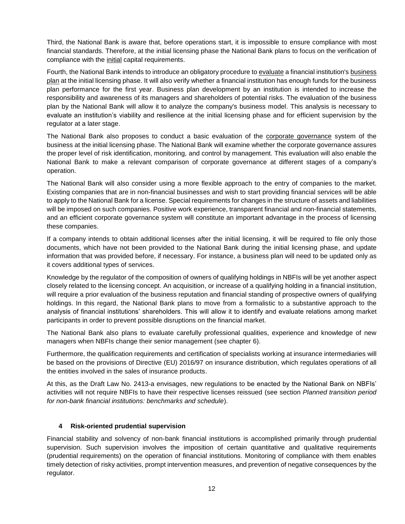Third, the National Bank is aware that, before operations start, it is impossible to ensure compliance with most financial standards. Therefore, at the initial licensing phase the National Bank plans to focus on the verification of compliance with the initial capital requirements.

Fourth, the National Bank intends to introduce an obligatory procedure to evaluate a financial institution's business plan at the initial licensing phase. It will also verify whether a financial institution has enough funds for the business plan performance for the first year. Business plan development by an institution is intended to increase the responsibility and awareness of its managers and shareholders of potential risks. The evaluation of the business plan by the National Bank will allow it to analyze the company's business model. This analysis is necessary to evaluate an institution's viability and resilience at the initial licensing phase and for efficient supervision by the regulator at a later stage.

The National Bank also proposes to conduct a basic evaluation of the corporate governance system of the business at the initial licensing phase. The National Bank will examine whether the corporate governance assures the proper level of risk identification, monitoring, and control by management. This evaluation will also enable the National Bank to make a relevant comparison of corporate governance at different stages of a company's operation.

The National Bank will also consider using a more flexible approach to the entry of companies to the market. Existing companies that are in non-financial businesses and wish to start providing financial services will be able to apply to the National Bank for a license. Special requirements for changes in the structure of assets and liabilities will be imposed on such companies. Positive work experience, transparent financial and non-financial statements, and an efficient corporate governance system will constitute an important advantage in the process of licensing these companies.

If a company intends to obtain additional licenses after the initial licensing, it will be required to file only those documents, which have not been provided to the National Bank during the initial licensing phase, and update information that was provided before, if necessary. For instance, a business plan will need to be updated only as it covers additional types of services.

Knowledge by the regulator of the composition of owners of qualifying holdings in NBFIs will be yet another aspect closely related to the licensing concept. An acquisition, or increase of a qualifying holding in a financial institution, will require a prior evaluation of the business reputation and financial standing of prospective owners of qualifying holdings. In this regard, the National Bank plans to move from a formalistic to a substantive approach to the analysis of financial institutions' shareholders. This will allow it to identify and evaluate relations among market participants in order to prevent possible disruptions on the financial market.

The National Bank also plans to evaluate carefully professional qualities, experience and knowledge of new managers when NBFIs change their senior management (see chapter 6).

Furthermore, the qualification requirements and certification of specialists working at insurance intermediaries will be based on the provisions of Directive (EU) 2016/97 on insurance distribution, which regulates operations of all the entities involved in the sales of insurance products.

At this, as the Draft Law No. 2413-a envisages, new regulations to be enacted by the National Bank on NBFIs' activities will not require NBFIs to have their respective licenses reissued (see section *Planned transition period for non-bank financial institutions: benchmarks and schedule*).

#### <span id="page-11-0"></span>**4 Risk-oriented prudential supervision**

Financial stability and solvency of non-bank financial institutions is accomplished primarily through prudential supervision. Such supervision involves the imposition of certain quantitative and qualitative requirements (prudential requirements) on the operation of financial institutions. Monitoring of compliance with them enables timely detection of risky activities, prompt intervention measures, and prevention of negative consequences by the regulator.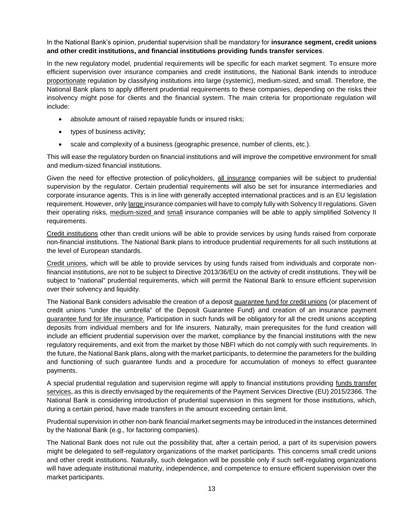In the National Bank's opinion, prudential supervision shall be mandatory for **insurance segment, credit unions and other credit institutions, and financial institutions providing funds transfer services**.

In the new regulatory model, prudential requirements will be specific for each market segment. To ensure more efficient supervision over insurance companies and credit institutions, the National Bank intends to introduce proportionate regulation by classifying institutions into large (systemic), medium-sized, and small. Therefore, the National Bank plans to apply different prudential requirements to these companies, depending on the risks their insolvency might pose for clients and the financial system. The main criteria for proportionate regulation will include:

- absolute amount of raised repayable funds or insured risks;
- types of business activity;
- scale and complexity of a business (geographic presence, number of clients, etc.).

This will ease the regulatory burden on financial institutions and will improve the competitive environment for small and medium-sized financial institutions.

Given the need for effective protection of policyholders, all insurance companies will be subject to prudential supervision by the regulator. Certain prudential requirements will also be set for insurance intermediaries and corporate insurance agents. This is in line with generally accepted international practices and is an EU legislation requirement. However, only large insurance companies will have to comply fully with Solvency II regulations. Given their operating risks, medium-sized and small insurance companies will be able to apply simplified Solvency II requirements.

Credit institutions other than credit unions will be able to provide services by using funds raised from corporate non-financial institutions. The National Bank plans to introduce prudential requirements for all such institutions at the level of European standards.

Credit unions, which will be able to provide services by using funds raised from individuals and corporate nonfinancial institutions, are not to be subject to Directive 2013/36/EU on the activity of credit institutions. They will be subject to "national" prudential requirements, which will permit the National Bank to ensure efficient supervision over their solvency and liquidity.

The National Bank considers advisable the creation of a deposit guarantee fund for credit unions (or placement of credit unions "under the umbrella" of the Deposit Guarantee Fund) and creation of an insurance payment guarantee fund for life insurance. Participation in such funds will be obligatory for all the credit unions accepting deposits from individual members and for life insurers. Naturally, main prerequisites for the fund creation will include an efficient prudential supervision over the market, compliance by the financial institutions with the new regulatory requirements, and exit from the market by those NBFI which do not comply with such requirements. In the future, the National Bank plans, along with the market participants, to determine the parameters for the building and functioning of such guarantee funds and a procedure for accumulation of moneys to effect guarantee payments.

A special prudential regulation and supervision regime will apply to financial institutions providing funds transfer services, as this is directly envisaged by the requirements of the Payment Services Directive (EU) 2015/2366. The National Bank is considering introduction of prudential supervision in this segment for those institutions, which, during a certain period, have made transfers in the amount exceeding certain limit.

Prudential supervision in other non-bank financial market segments may be introduced in the instances determined by the National Bank (e.g., for factoring companies).

The National Bank does not rule out the possibility that, after a certain period, a part of its supervision powers might be delegated to self-regulatory organizations of the market participants. This concerns small credit unions and other credit institutions. Naturally, such delegation will be possible only if such self-regulating organizations will have adequate institutional maturity, independence, and competence to ensure efficient supervision over the market participants.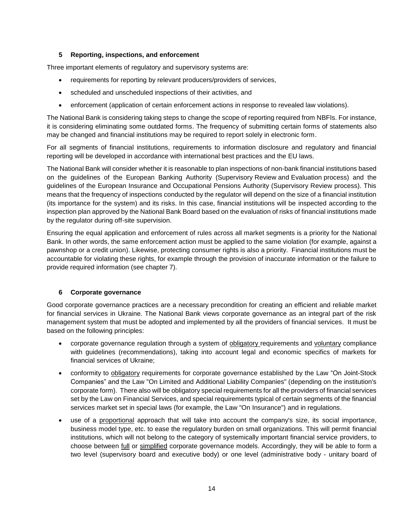#### <span id="page-13-0"></span>**5 Reporting, inspections, and enforcement**

Three important elements of regulatory and supervisory systems are:

- requirements for reporting by relevant producers/providers of services,
- scheduled and unscheduled inspections of their activities, and
- enforcement (application of certain enforcement actions in response to revealed law violations).

The National Bank is considering taking steps to change the scope of reporting required from NBFIs. For instance, it is considering eliminating some outdated forms. The frequency of submitting certain forms of statements also may be changed and financial institutions may be required to report solely in electronic form.

For all segments of financial institutions, requirements to information disclosure and regulatory and financial reporting will be developed in accordance with international best practices and the EU laws.

The National Bank will consider whether it is reasonable to plan inspections of non-bank financial institutions based on the guidelines of the European Banking Authority (Supervisory Review and Evaluation process) and the guidelines of the European Insurance and Occupational Pensions Authority (Supervisory Review process). This means that the frequency of inspections conducted by the regulator will depend on the size of a financial institution (its importance for the system) and its risks. In this case, financial institutions will be inspected according to the inspection plan approved by the National Bank Board based on the evaluation of risks of financial institutions made by the regulator during off-site supervision.

Ensuring the equal application and enforcement of rules across all market segments is a priority for the National Bank. In other words, the same enforcement action must be applied to the same violation (for example, against a pawnshop or a credit union). Likewise, protecting consumer rights is also a priority. Financial institutions must be accountable for violating these rights, for example through the provision of inaccurate information or the failure to provide required information (see chapter 7).

#### <span id="page-13-1"></span>**6 Corporate governance**

Good corporate governance practices are a necessary precondition for creating an efficient and reliable market for financial services in Ukraine. The National Bank views corporate governance as an integral part of the risk management system that must be adopted and implemented by all the providers of financial services. It must be based on the following principles:

- corporate governance regulation through a system of obligatory requirements and voluntary compliance with guidelines (recommendations), taking into account legal and economic specifics of markets for financial services of Ukraine;
- conformity to obligatory requirements for corporate governance established by the Law "On Joint-Stock Companies" and the Law "On Limited and Additional Liability Companies" (depending on the institution's corporate form). There also will be obligatory special requirements for all the providers of financial services set by the Law on Financial Services, and special requirements typical of certain segments of the financial services market set in special laws (for example, the Law "On Insurance") and in regulations.
- use of a proportional approach that will take into account the company's size, its social importance, business model type, etc. to ease the regulatory burden on small organizations. This will permit financial institutions, which will not belong to the category of systemically important financial service providers, to choose between full or simplified corporate governance models. Accordingly, they will be able to form a two level (supervisory board and executive body) or one level (administrative body - unitary board of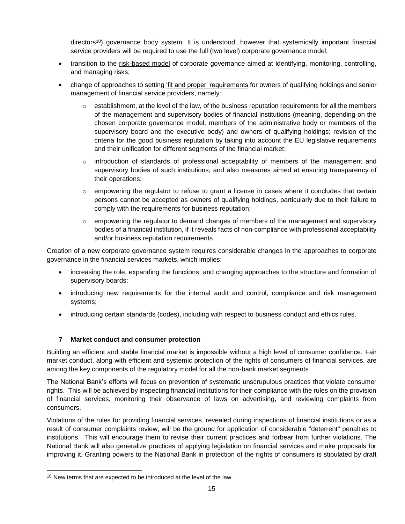directors<sup>10</sup>) governance body system. It is understood, however that systemically important financial service providers will be required to use the full (two level) corporate governance model;

- transition to the risk-based model of corporate governance aimed at identifying, monitoring, controlling, and managing risks;
- change of approaches to setting 'fit and proper' requirements for owners of qualifying holdings and senior management of financial service providers, namely:
	- $\circ$  establishment, at the level of the law, of the business reputation requirements for all the members of the management and supervisory bodies of financial institutions (meaning, depending on the chosen corporate governance model, members of the administrative body or members of the supervisory board and the executive body) and owners of qualifying holdings; revision of the criteria for the good business reputation by taking into account the EU legislative requirements and their unification for different segments of the financial market;
	- $\circ$  introduction of standards of professional acceptability of members of the management and supervisory bodies of such institutions; and also measures aimed at ensuring transparency of their operations;
	- $\circ$  empowering the regulator to refuse to grant a license in cases where it concludes that certain persons cannot be accepted as owners of qualifying holdings, particularly due to their failure to comply with the requirements for business reputation;
	- $\circ$  empowering the regulator to demand changes of members of the management and supervisory bodies of a financial institution, if it reveals facts of non-compliance with professional acceptability and/or business reputation requirements.

Creation of a new corporate governance system requires considerable changes in the approaches to corporate governance in the financial services markets, which implies:

- increasing the role, expanding the functions, and changing approaches to the structure and formation of supervisory boards;
- introducing new requirements for the internal audit and control, compliance and risk management systems;
- introducing certain standards (codes), including with respect to business conduct and ethics rules.

#### <span id="page-14-0"></span>**7 Market conduct and consumer protection**

Building an efficient and stable financial market is impossible without a high level of consumer confidence. Fair market conduct, along with efficient and systemic protection of the rights of consumers of financial services, are among the key components of the regulatory model for all the non-bank market segments.

The National Bank's efforts will focus on prevention of systematic unscrupulous practices that violate consumer rights. This will be achieved by inspecting financial institutions for their compliance with the rules on the provision of financial services, monitoring their observance of laws on advertising, and reviewing complaints from consumers.

Violations of the rules for providing financial services, revealed during inspections of financial institutions or as a result of consumer complaints review, will be the ground for application of considerable "deterrent" penalties to institutions. This will encourage them to revise their current practices and forbear from further violations. The National Bank will also generalize practices of applying legislation on financial services and make proposals for improving it. Granting powers to the National Bank in protection of the rights of consumers is stipulated by draft

l

<sup>&</sup>lt;sup>10</sup> New terms that are expected to be introduced at the level of the law.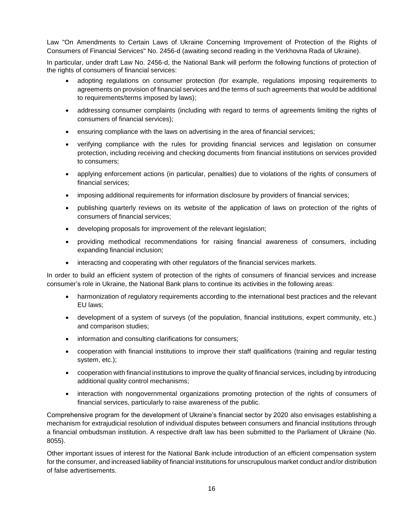Law "On Amendments to Certain Laws of Ukraine Concerning Improvement of Protection of the Rights of Consumers of Financial Services" No. 2456-d (awaiting second reading in the Verkhovna Rada of Ukraine).

In particular, under draft Law No. 2456-d, the National Bank will perform the following functions of protection of the rights of consumers of financial services:

- adopting regulations on consumer protection (for example, regulations imposing requirements to agreements on provision of financial services and the terms of such agreements that would be additional to requirements/terms imposed by laws);
- addressing consumer complaints (including with regard to terms of agreements limiting the rights of consumers of financial services);
- ensuring compliance with the laws on advertising in the area of financial services;
- verifying compliance with the rules for providing financial services and legislation on consumer protection, including receiving and checking documents from financial institutions on services provided to consumers;
- applying enforcement actions (in particular, penalties) due to violations of the rights of consumers of financial services;
- imposing additional requirements for information disclosure by providers of financial services;
- publishing quarterly reviews on its website of the application of laws on protection of the rights of consumers of financial services;
- developing proposals for improvement of the relevant legislation;
- providing methodical recommendations for raising financial awareness of consumers, including expanding financial inclusion;
- interacting and cooperating with other regulators of the financial services markets.

In order to build an efficient system of protection of the rights of consumers of financial services and increase consumer's role in Ukraine, the National Bank plans to continue its activities in the following areas:

- harmonization of regulatory requirements according to the international best practices and the relevant EU laws;
- development of a system of surveys (of the population, financial institutions, expert community, etc.) and comparison studies;
- information and consulting clarifications for consumers;
- cooperation with financial institutions to improve their staff qualifications (training and regular testing system, etc.);
- cooperation with financial institutions to improve the quality of financial services, including by introducing additional quality control mechanisms;
- interaction with nongovernmental organizations promoting protection of the rights of consumers of financial services, particularly to raise awareness of the public.

Comprehensive program for the development of Ukraine's financial sector by 2020 also envisages establishing a mechanism for extrajudicial resolution of individual disputes between consumers and financial institutions through a financial ombudsman institution. A respective draft law has been submitted to the Parliament of Ukraine (No. 8055).

Other important issues of interest for the National Bank include introduction of an efficient compensation system for the consumer, and increased liability of financial institutions for unscrupulous market conduct and/or distribution of false advertisements.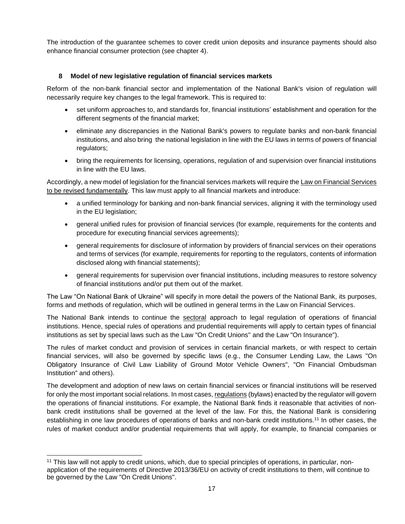The introduction of the guarantee schemes to cover credit union deposits and insurance payments should also enhance financial consumer protection (see chapter 4).

#### <span id="page-16-0"></span>**8 Model of new legislative regulation of financial services markets**

Reform of the non-bank financial sector and implementation of the National Bank's vision of regulation will necessarily require key changes to the legal framework. This is required to:

- set uniform approaches to, and standards for, financial institutions' establishment and operation for the different segments of the financial market;
- eliminate any discrepancies in the National Bank's powers to regulate banks and non-bank financial institutions, and also bring the national legislation in line with the EU laws in terms of powers of financial regulators;
- bring the requirements for licensing, operations, regulation of and supervision over financial institutions in line with the EU laws.

Accordingly, a new model of legislation for the financial services markets will require the Law on Financial Services to be revised fundamentally. This law must apply to all financial markets and introduce:

- a unified terminology for banking and non-bank financial services, aligning it with the terminology used in the EU legislation;
- general unified rules for provision of financial services (for example, requirements for the contents and procedure for executing financial services agreements);
- general requirements for disclosure of information by providers of financial services on their operations and terms of services (for example, requirements for reporting to the regulators, contents of information disclosed along with financial statements);
- general requirements for supervision over financial institutions, including measures to restore solvency of financial institutions and/or put them out of the market.

The Law "On National Bank of Ukraine" will specify in more detail the powers of the National Bank, its purposes, forms and methods of regulation, which will be outlined in general terms in the Law on Financial Services.

The National Bank intends to continue the sectoral approach to legal regulation of operations of financial institutions. Hence, special rules of operations and prudential requirements will apply to certain types of financial institutions as set by special laws such as the Law "On Credit Unions" and the Law "On Insurance").

The rules of market conduct and provision of services in certain financial markets, or with respect to certain financial services, will also be governed by specific laws (e.g., the Consumer Lending Law, the Laws "On Obligatory Insurance of Civil Law Liability of Ground Motor Vehicle Owners", "On Financial Ombudsman Institution" and others).

The development and adoption of new laws on certain financial services or financial institutions will be reserved for only the most important social relations. In most cases, regulations (bylaws) enacted by the regulator will govern the operations of financial institutions. For example, the National Bank finds it reasonable that activities of nonbank credit institutions shall be governed at the level of the law. For this, the National Bank is considering establishing in one law procedures of operations of banks and non-bank credit institutions.<sup>11</sup> In other cases, the rules of market conduct and/or prudential requirements that will apply, for example, to financial companies or

 $\overline{a}$ 

<sup>&</sup>lt;sup>11</sup> This law will not apply to credit unions, which, due to special principles of operations, in particular, nonapplication of the requirements of Directive 2013/36/EU on activity of credit institutions to them, will continue to be governed by the Law "On Credit Unions".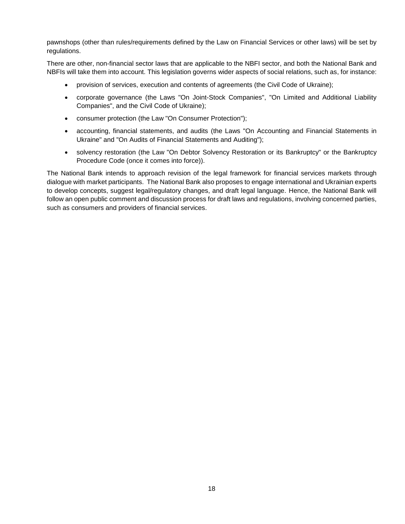pawnshops (other than rules/requirements defined by the Law on Financial Services or other laws) will be set by regulations.

There are other, non-financial sector laws that are applicable to the NBFI sector, and both the National Bank and NBFIs will take them into account. This legislation governs wider aspects of social relations, such as, for instance:

- provision of services, execution and contents of agreements (the Civil Code of Ukraine);
- corporate governance (the Laws "On Joint-Stock Companies", "On Limited and Additional Liability Companies", and the Civil Code of Ukraine);
- consumer protection (the Law "On Consumer Protection");
- accounting, financial statements, and audits (the Laws "On Accounting and Financial Statements in Ukraine" and "On Audits of Financial Statements and Auditing");
- solvency restoration (the Law "On Debtor Solvency Restoration or its Bankruptcy" or the Bankruptcy Procedure Code (once it comes into force)).

The National Bank intends to approach revision of the legal framework for financial services markets through dialogue with market participants. The National Bank also proposes to engage international and Ukrainian experts to develop concepts, suggest legal/regulatory changes, and draft legal language. Hence, the National Bank will follow an open public comment and discussion process for draft laws and regulations, involving concerned parties, such as consumers and providers of financial services.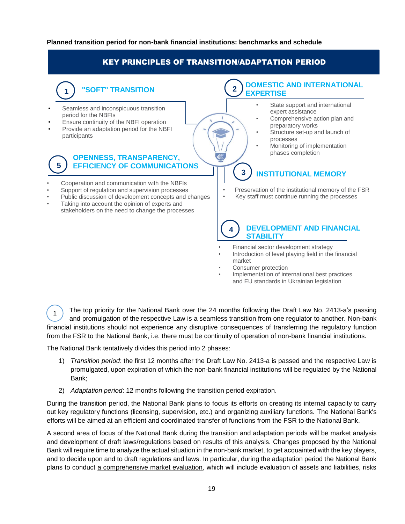#### <span id="page-18-0"></span>**Planned transition period for non-bank financial institutions: benchmarks and schedule**

## KEY PRINCIPLES OF TRANSITION/ADAPTATION PERIOD

## **"SOFT" TRANSITION**

Seamless and inconspicuous transition period for the NBFIs

**1**

- Ensure continuity of the NBFI operation
- Provide an adaptation period for the NBFI participants

#### **OPENNESS, TRANSPARENCY, EFFICIENCY OF COMMUNICATIONS 5**

- Cooperation and communication with the NBFIs
- Support of regulation and supervision processes
- Public discussion of development concepts and changes
- Taking into account the opinion of experts and stakeholders on the need to change the processes

#### **DOMESTIC AND INTERNATIONAL EXPERTISE 2**

- State support and international expert assistance
- Comprehensive action plan and preparatory works
- Structure set-up and launch of processes
- Monitoring of implementation phases completion

## **INSTITUTIONAL MEMORY**

- Preservation of the institutional memory of the FSR<br>• Key staff must continue running the processes
- Key staff must continue running the processes

#### **4 DEVELOPMENT AND FINANCIAL STABILITY**

- Financial sector development strategy
- Introduction of level playing field in the financial market
- Consumer protection

**3**

• Implementation of international best practices and EU standards in Ukrainian legislation

The top priority for the National Bank over the 24 months following the Draft Law No. 2413-a's passing and promulgation of the respective Law is a seamless transition from one regulator to another. Non-bank financial institutions should not experience any disruptive consequences of transferring the regulatory function from the FSR to the National Bank, i.e. there must be continuity of operation of non-bank financial institutions. 1

The National Bank tentatively divides this period into 2 phases:

- 1) *Transition period*: the first 12 months after the Draft Law No. 2413-a is passed and the respective Law is promulgated, upon expiration of which the non-bank financial institutions will be regulated by the National Bank;
- 2) *Adaptation period*: 12 months following the transition period expiration.

During the transition period, the National Bank plans to focus its efforts on creating its internal capacity to carry out key regulatory functions (licensing, supervision, etc.) and organizing auxiliary functions. The National Bank's efforts will be aimed at an efficient and coordinated transfer of functions from the FSR to the National Bank.

A second area of focus of the National Bank during the transition and adaptation periods will be market analysis and development of draft laws/regulations based on results of this analysis. Changes proposed by the National Bank will require time to analyze the actual situation in the non-bank market, to get acquainted with the key players, and to decide upon and to draft regulations and laws. In particular, during the adaptation period the National Bank plans to conduct a comprehensive market evaluation, which will include evaluation of assets and liabilities, risks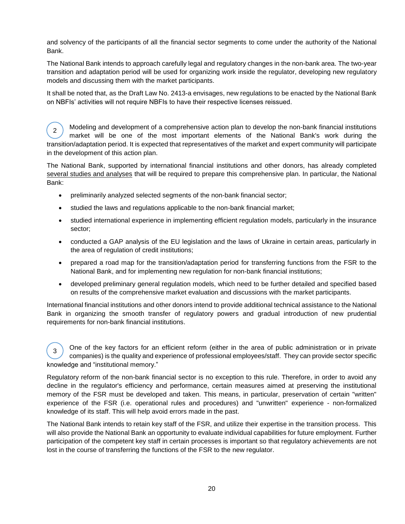and solvency of the participants of all the financial sector segments to come under the authority of the National Bank.

The National Bank intends to approach carefully legal and regulatory changes in the non-bank area. The two-year transition and adaptation period will be used for organizing work inside the regulator, developing new regulatory models and discussing them with the market participants.

It shall be noted that, as the Draft Law No. 2413-a envisages, new regulations to be enacted by the National Bank on NBFIs' activities will not require NBFIs to have their respective licenses reissued.

Modeling and development of a comprehensive action plan to develop the non-bank financial institutions market will be one of the most important elements of the National Bank's work during the transition/adaptation period. It is expected that representatives of the market and expert community will participate in the development of this action plan. 2

The National Bank, supported by international financial institutions and other donors, has already completed several studies and analyses that will be required to prepare this comprehensive plan. In particular, the National Bank:

- preliminarily analyzed selected segments of the non-bank financial sector;
- studied the laws and regulations applicable to the non-bank financial market;
- studied international experience in implementing efficient regulation models, particularly in the insurance sector;
- conducted a GAP analysis of the EU legislation and the laws of Ukraine in certain areas, particularly in the area of regulation of credit institutions;
- prepared a road map for the transition/adaptation period for transferring functions from the FSR to the National Bank, and for implementing new regulation for non-bank financial institutions;
- developed preliminary general regulation models, which need to be further detailed and specified based on results of the comprehensive market evaluation and discussions with the market participants.

International financial institutions and other donors intend to provide additional technical assistance to the National Bank in organizing the smooth transfer of regulatory powers and gradual introduction of new prudential requirements for non-bank financial institutions.

One of the key factors for an efficient reform (either in the area of public administration or in private companies) is the quality and experience of professional employees/staff. They can provide sector specific knowledge and "institutional memory." 3

Regulatory reform of the non-bank financial sector is no exception to this rule. Therefore, in order to avoid any decline in the regulator's efficiency and performance, certain measures aimed at preserving the institutional memory of the FSR must be developed and taken. This means, in particular, preservation of certain "written" experience of the FSR (i.e. operational rules and procedures) and "unwritten" experience - non-formalized knowledge of its staff. This will help avoid errors made in the past.

The National Bank intends to retain key staff of the FSR, and utilize their expertise in the transition process. This will also provide the National Bank an opportunity to evaluate individual capabilities for future employment. Further participation of the competent key staff in certain processes is important so that regulatory achievements are not lost in the course of transferring the functions of the FSR to the new regulator.